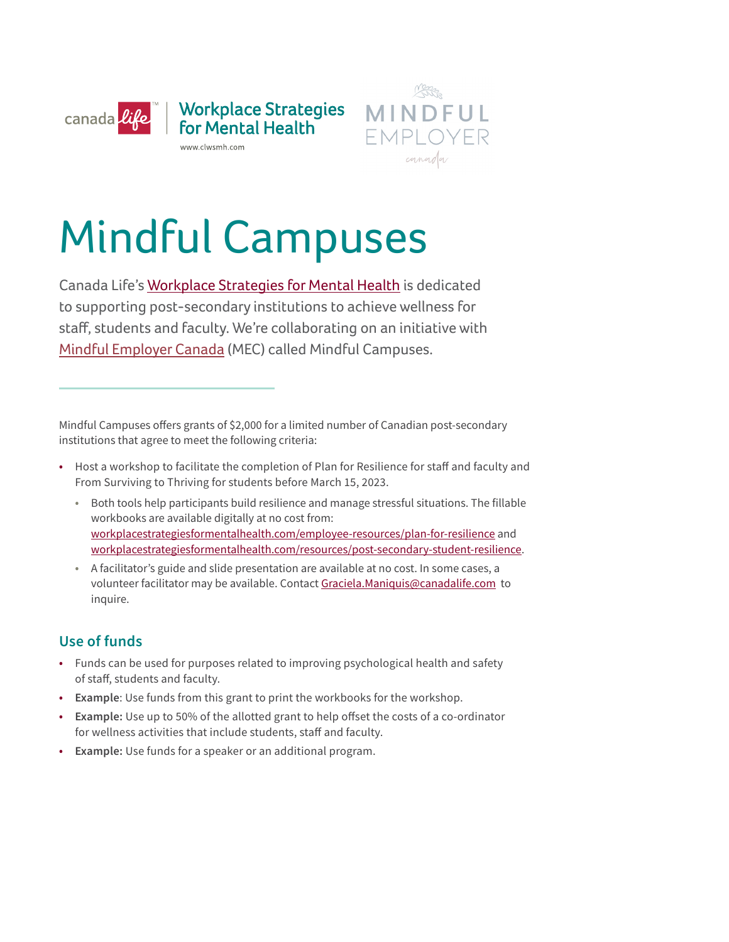



# Mindful Campuses

 to supporting post-secondary institutions to achieve wellness for Canada Life's [Workplace Strategies for Mental Health](https://www.workplacestrategiesformentalhealth.com) is dedicated staff, students and faculty. We're collaborating on an initiative with [Mindful Employer Canada](https://www.mindfulemployer.ca) (MEC) called Mindful Campuses.

Mindful Campuses ofers grants of \$2,000 for a limited number of Canadian post-secondary institutions that agree to meet the following criteria:

- Host a workshop to facilitate the completion of Plan for Resilience for staff and faculty and From Surviving to Thriving for students before March 15, 2023.
	- Both tools help participants build resilience and manage stressful situations. The fillable workbooks are available digitally at no cost from: [workplacestrategiesformentalhealth.com/employee-resources/plan-for-resilience](http://www.workplacestrategiesformentalhealth.com/employee-resources/plan-for-resilience) and [workplacestrategiesformentalhealth.com/resources/post-secondary-student-resilience](http://www.workplacestrategiesformentalhealth.com/resources/post-secondary-student-resilience).
	- A facilitator's guide and slide presentation are available at no cost. In some cases, a volunteer facilitator may be available. Contact [Graciela.Maniquis@canadalife.com](mailto:Graciela.Maniquis%40canadalife.com?subject=) to inquire.

#### **Use of funds**

- Funds can be used for purposes related to improving psychological health and safety of staf, students and faculty.
- **Example**: Use funds from this grant to print the workbooks for the workshop.
- **Example:** Use up to 50% of the allotted grant to help ofset the costs of a co-ordinator for wellness activities that include students, staff and faculty.
- **Example:** Use funds for a speaker or an additional program.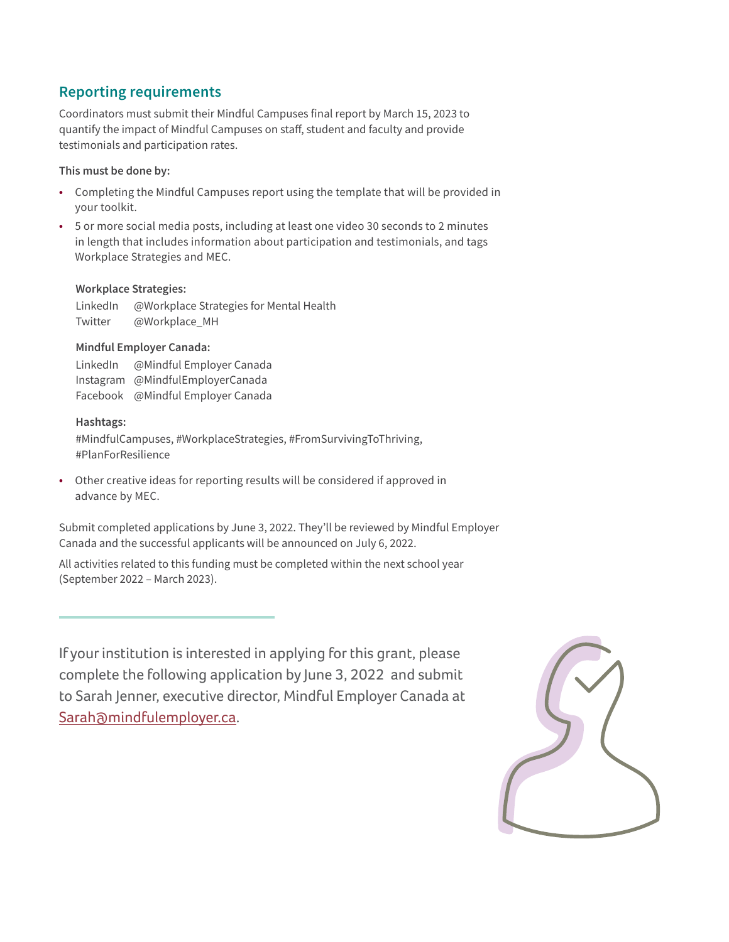#### **Reporting requirements**

Coordinators must submit their Mindful Campuses final report by March 15, 2023 to quantify the impact of Mindful Campuses on staf, student and faculty and provide testimonials and participation rates.

#### **This must be done by:**

- Completing the Mindful Campuses report using the template that will be provided in your toolkit.
- 5 or more social media posts, including at least one video 30 seconds to 2 minutes in length that includes information about participation and testimonials, and tags Workplace Strategies and MEC.

#### **Workplace Strategies:**

LinkedIn @Workplace Strategies for Mental Health Twitter @Workplace\_MH

#### **Mindful Employer Canada:**

LinkedIn @Mindful Employer Canada Instagram @MindfulEmployerCanada Facebook @Mindful Employer Canada

#### **Hashtags:**

#MindfulCampuses, #WorkplaceStrategies, #FromSurvivingToThriving, #PlanForResilience

• Other creative ideas for reporting results will be considered if approved in advance by MEC.

Submit completed applications by June 3, 2022. They'll be reviewed by Mindful Employer Canada and the successful applicants will be announced on July 6, 2022.

All activities related to this funding must be completed within the next school year (September 2022 – March 2023).

If your institution is interested in applying for this grant, please complete the following application by June 3, 2022 and submit to Sarah Jenner, executive director, Mindful Employer Canada at [Sarah@mindfulemployer.ca](mailto:Sarah@mindfulemployer.ca).

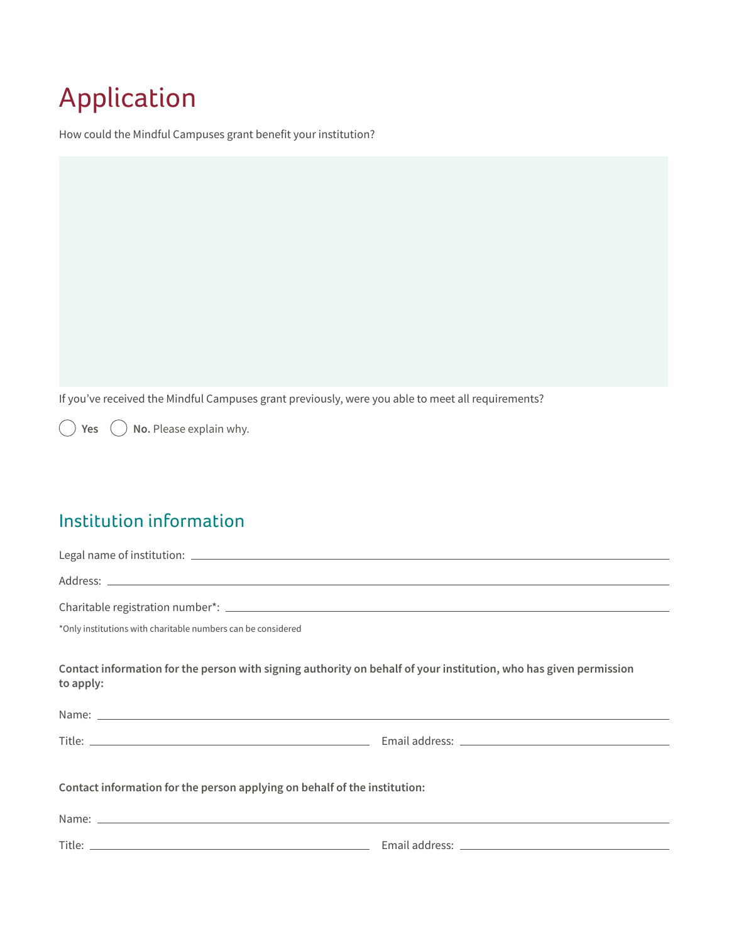# Application

How could the Mindful Campuses grant benefit your institution?

If you've received the Mindful Campuses grant previously, were you able to meet all requirements?

**Yes**  $\bigcirc$  **No.** Please explain why.

## Institution information

| *Only institutions with charitable numbers can be considered              |                                                                                                                   |  |  |  |
|---------------------------------------------------------------------------|-------------------------------------------------------------------------------------------------------------------|--|--|--|
| to apply:                                                                 | Contact information for the person with signing authority on behalf of your institution, who has given permission |  |  |  |
|                                                                           |                                                                                                                   |  |  |  |
|                                                                           |                                                                                                                   |  |  |  |
| Contact information for the person applying on behalf of the institution: |                                                                                                                   |  |  |  |
|                                                                           |                                                                                                                   |  |  |  |
|                                                                           |                                                                                                                   |  |  |  |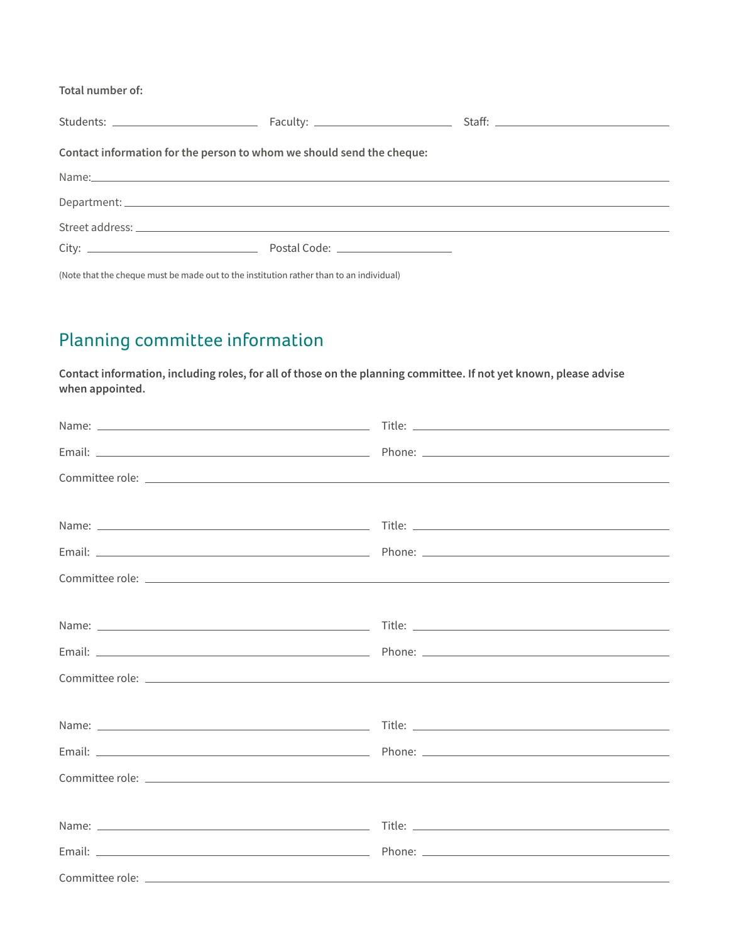**Total number of:** 

| Contact information for the person to whom we should send the cheque: |                                                    |  |  |  |  |
|-----------------------------------------------------------------------|----------------------------------------------------|--|--|--|--|
|                                                                       |                                                    |  |  |  |  |
|                                                                       |                                                    |  |  |  |  |
|                                                                       |                                                    |  |  |  |  |
|                                                                       | Postal Code: <u>______________________________</u> |  |  |  |  |

(Note that the cheque must be made out to the institution rather than to an individual)

### Planning committee information

**Contact information, including roles, for all of those on the planning committee. If not yet known, please advise when appointed.**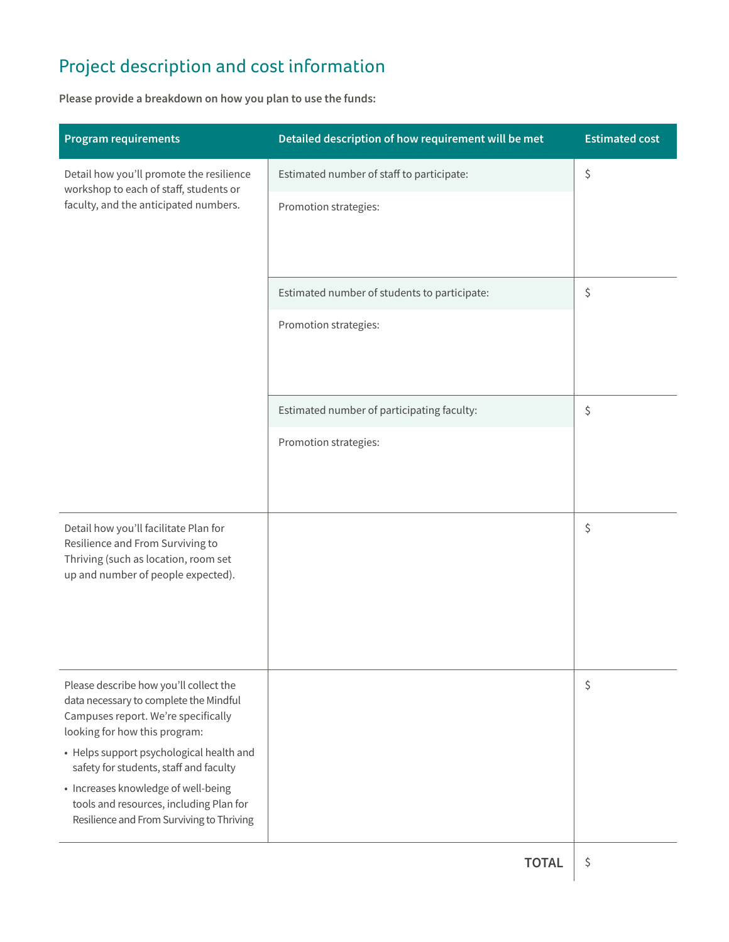# Project description and cost information

**Please provide a breakdown on how you plan to use the funds:** 

| <b>Program requirements</b>                                                                                                 | Detailed description of how requirement will be met | <b>Estimated cost</b> |  |
|-----------------------------------------------------------------------------------------------------------------------------|-----------------------------------------------------|-----------------------|--|
| Detail how you'll promote the resilience<br>workshop to each of staff, students or<br>faculty, and the anticipated numbers. | Estimated number of staff to participate:           | \$                    |  |
|                                                                                                                             | Promotion strategies:                               |                       |  |
|                                                                                                                             |                                                     |                       |  |
|                                                                                                                             | Estimated number of students to participate:        | \$                    |  |
|                                                                                                                             | Promotion strategies:                               |                       |  |
|                                                                                                                             |                                                     |                       |  |
|                                                                                                                             | Estimated number of participating faculty:          | \$                    |  |
|                                                                                                                             | Promotion strategies:                               |                       |  |
|                                                                                                                             |                                                     |                       |  |
| Detail how you'll facilitate Plan for                                                                                       |                                                     | \$                    |  |
| Resilience and From Surviving to<br>Thriving (such as location, room set                                                    |                                                     |                       |  |
| up and number of people expected).                                                                                          |                                                     |                       |  |
|                                                                                                                             |                                                     |                       |  |
|                                                                                                                             |                                                     |                       |  |
| Please describe how you'll collect the<br>data necessary to complete the Mindful                                            |                                                     | \$                    |  |
| Campuses report. We're specifically<br>looking for how this program:                                                        |                                                     |                       |  |
| • Helps support psychological health and<br>safety for students, staff and faculty                                          |                                                     |                       |  |
| • Increases knowledge of well-being<br>tools and resources, including Plan for                                              |                                                     |                       |  |
| Resilience and From Surviving to Thriving                                                                                   |                                                     |                       |  |
|                                                                                                                             |                                                     |                       |  |